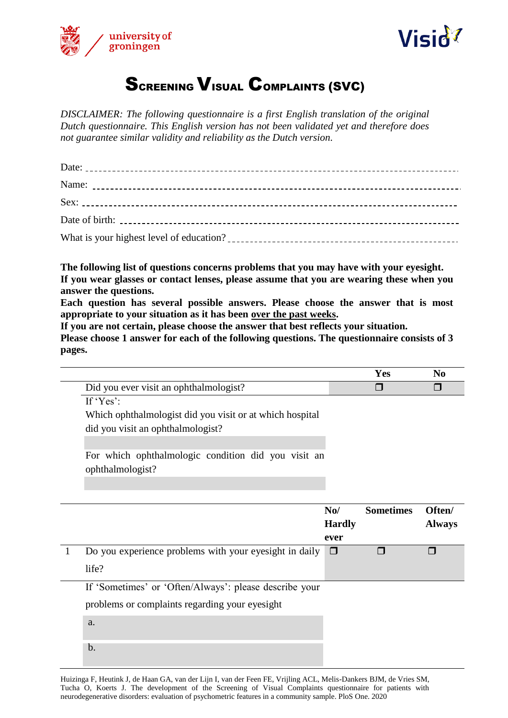



## **SCREENING VISUAL COMPLAINTS (SVC)**

*DISCLAIMER: The following questionnaire is a first English translation of the original Dutch questionnaire. This English version has not been validated yet and therefore does not guarantee similar validity and reliability as the Dutch version.*

**The following list of questions concerns problems that you may have with your eyesight. If you wear glasses or contact lenses, please assume that you are wearing these when you answer the questions.** 

**Each question has several possible answers. Please choose the answer that is most appropriate to your situation as it has been over the past weeks.** 

**If you are not certain, please choose the answer that best reflects your situation.**

**Please choose 1 answer for each of the following questions. The questionnaire consists of 3 pages.**

|                                        | N |
|----------------------------------------|---|
| Did you ever visit an ophthalmologist? |   |

If 'Yes':

Which ophthalmologist did you visit or at which hospital did you visit an ophthalmologist?

For which ophthalmologic condition did you visit an ophthalmologist?

|                                                                        | N <sub>0</sub><br><b>Hardly</b><br>ever | <b>Sometimes</b> | Often/<br><b>Always</b> |
|------------------------------------------------------------------------|-----------------------------------------|------------------|-------------------------|
| Do you experience problems with your eyesight in daily $\Box$<br>life? |                                         |                  |                         |
| _ _ _ _<br>.                                                           |                                         |                  |                         |

If 'Sometimes' or 'Often/Always': please describe your

problems or complaints regarding your eyesight

a.

b.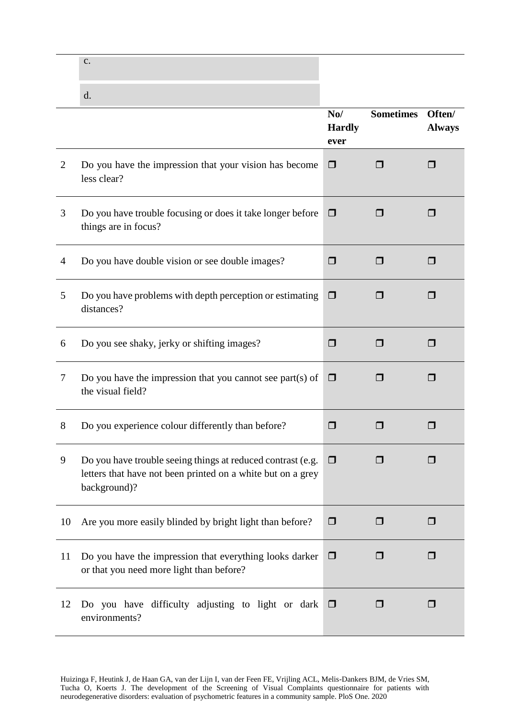| J. |  |  |
|----|--|--|
|    |  |  |

|                |                                                                                                                                            | N <sub>0</sub><br><b>Hardly</b><br>ever | <b>Sometimes</b> | Often/<br><b>Always</b> |
|----------------|--------------------------------------------------------------------------------------------------------------------------------------------|-----------------------------------------|------------------|-------------------------|
| $\overline{2}$ | Do you have the impression that your vision has become<br>less clear?                                                                      | $\Box$                                  |                  | П                       |
| 3              | Do you have trouble focusing or does it take longer before<br>things are in focus?                                                         | $\Box$                                  | H                | $\blacksquare$          |
| 4              | Do you have double vision or see double images?                                                                                            | $\Box$                                  | ⊓                | П                       |
| 5              | Do you have problems with depth perception or estimating<br>distances?                                                                     | $\Box$                                  | $\blacksquare$   | П                       |
| 6              | Do you see shaky, jerky or shifting images?                                                                                                | $\Box$                                  | $\Box$           | $\Box$                  |
| 7              | Do you have the impression that you cannot see part(s) of<br>the visual field?                                                             | $\Box$                                  | $\Box$           | $\Box$                  |
| $8\,$          | Do you experience colour differently than before?                                                                                          | $\Box$                                  | ΙI               | П                       |
| 9              | Do you have trouble seeing things at reduced contrast (e.g.<br>letters that have not been printed on a white but on a grey<br>background)? | $\Box$                                  | $\Box$           | $\Box$                  |
| 10             | Are you more easily blinded by bright light than before?                                                                                   | $\Box$                                  | $\Box$           | $\Box$                  |
| 11             | Do you have the impression that everything looks darker<br>or that you need more light than before?                                        | $\Box$                                  | H                | $\Box$                  |
| 12             | Do you have difficulty adjusting to light or dark<br>environments?                                                                         | $\Box$                                  | $\Box$           | $\Box$                  |